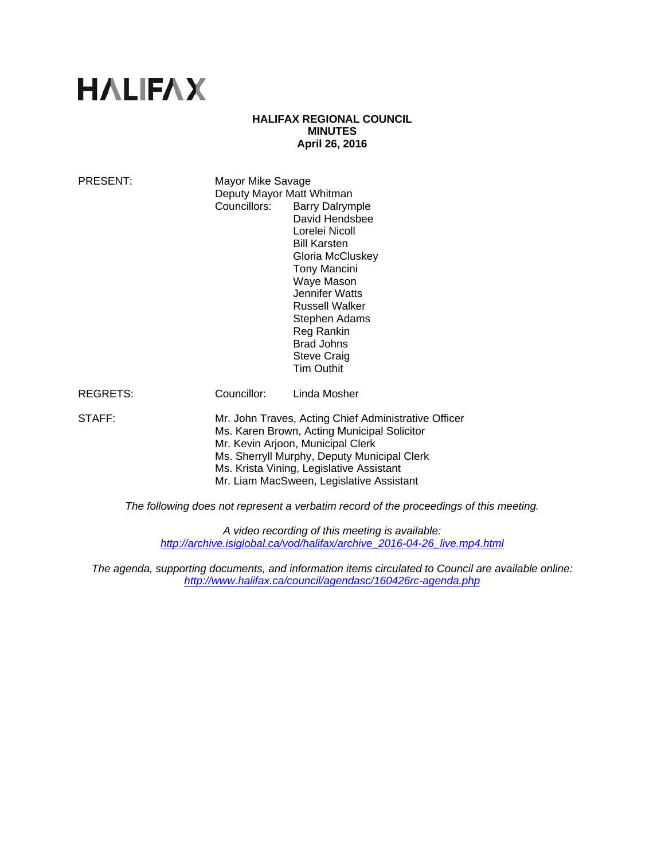# **HALIFAX**

## **HALIFAX REGIONAL COUNCIL MINUTES April 26, 2016**

| <b>PRESENT:</b>                                                                        | Mayor Mike Savage<br>Deputy Mayor Matt Whitman<br>Councillors:                                                                                                                                                                                                                  | <b>Barry Dalrymple</b><br>David Hendsbee<br>Lorelei Nicoll<br><b>Bill Karsten</b><br>Gloria McCluskey<br>Tony Mancini<br>Waye Mason<br>Jennifer Watts<br><b>Russell Walker</b><br>Stephen Adams<br>Reg Rankin<br><b>Brad Johns</b><br><b>Steve Craig</b><br><b>Tim Outhit</b> |
|----------------------------------------------------------------------------------------|---------------------------------------------------------------------------------------------------------------------------------------------------------------------------------------------------------------------------------------------------------------------------------|-------------------------------------------------------------------------------------------------------------------------------------------------------------------------------------------------------------------------------------------------------------------------------|
| <b>REGRETS:</b>                                                                        | Councillor:                                                                                                                                                                                                                                                                     | Linda Mosher                                                                                                                                                                                                                                                                  |
| STAFF:                                                                                 | Mr. John Traves, Acting Chief Administrative Officer<br>Ms. Karen Brown, Acting Municipal Solicitor<br>Mr. Kevin Arjoon, Municipal Clerk<br>Ms. Sherryll Murphy, Deputy Municipal Clerk<br>Ms. Krista Vining, Legislative Assistant<br>Mr. Liam MacSween, Legislative Assistant |                                                                                                                                                                                                                                                                               |
| The following does not represent a verbatim record of the proceedings of this meeting. |                                                                                                                                                                                                                                                                                 |                                                                                                                                                                                                                                                                               |

*A video recording of this meeting is available: http://archive.isiglobal.ca/vod/halifax/archive\_2016-04-26\_live.mp4.html* 

*The agenda, supporting documents, and information items circulated to Council are available online: http://www.halifax.ca/council/agendasc/160426rc-agenda.php*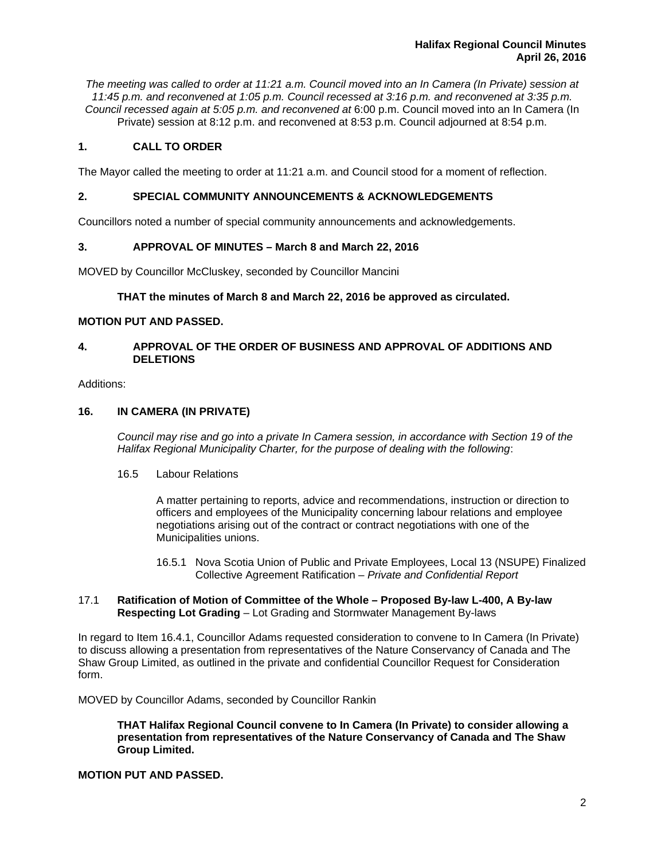*The meeting was called to order at 11:21 a.m. Council moved into an In Camera (In Private) session at 11:45 p.m. and reconvened at 1:05 p.m. Council recessed at 3:16 p.m. and reconvened at 3:35 p.m. Council recessed again at 5:05 p.m. and reconvened at* 6:00 p.m. Council moved into an In Camera (In Private) session at 8:12 p.m. and reconvened at 8:53 p.m. Council adjourned at 8:54 p.m.

# **1. CALL TO ORDER**

The Mayor called the meeting to order at 11:21 a.m. and Council stood for a moment of reflection.

# **2. SPECIAL COMMUNITY ANNOUNCEMENTS & ACKNOWLEDGEMENTS**

Councillors noted a number of special community announcements and acknowledgements.

## **3. APPROVAL OF MINUTES – March 8 and March 22, 2016**

MOVED by Councillor McCluskey, seconded by Councillor Mancini

## **THAT the minutes of March 8 and March 22, 2016 be approved as circulated.**

## **MOTION PUT AND PASSED.**

# **4. APPROVAL OF THE ORDER OF BUSINESS AND APPROVAL OF ADDITIONS AND DELETIONS**

#### Additions:

# **16. IN CAMERA (IN PRIVATE)**

*Council may rise and go into a private In Camera session, in accordance with Section 19 of the Halifax Regional Municipality Charter, for the purpose of dealing with the following*:

## 16.5 Labour Relations

A matter pertaining to reports, advice and recommendations, instruction or direction to officers and employees of the Municipality concerning labour relations and employee negotiations arising out of the contract or contract negotiations with one of the Municipalities unions.

 16.5.1 Nova Scotia Union of Public and Private Employees, Local 13 (NSUPE) Finalized Collective Agreement Ratification – *Private and Confidential Report* 

## 17.1 **Ratification of Motion of Committee of the Whole – Proposed By-law L-400, A By-law Respecting Lot Grading** – Lot Grading and Stormwater Management By-laws

In regard to Item 16.4.1, Councillor Adams requested consideration to convene to In Camera (In Private) to discuss allowing a presentation from representatives of the Nature Conservancy of Canada and The Shaw Group Limited, as outlined in the private and confidential Councillor Request for Consideration form.

MOVED by Councillor Adams, seconded by Councillor Rankin

**THAT Halifax Regional Council convene to In Camera (In Private) to consider allowing a presentation from representatives of the Nature Conservancy of Canada and The Shaw Group Limited.** 

## **MOTION PUT AND PASSED.**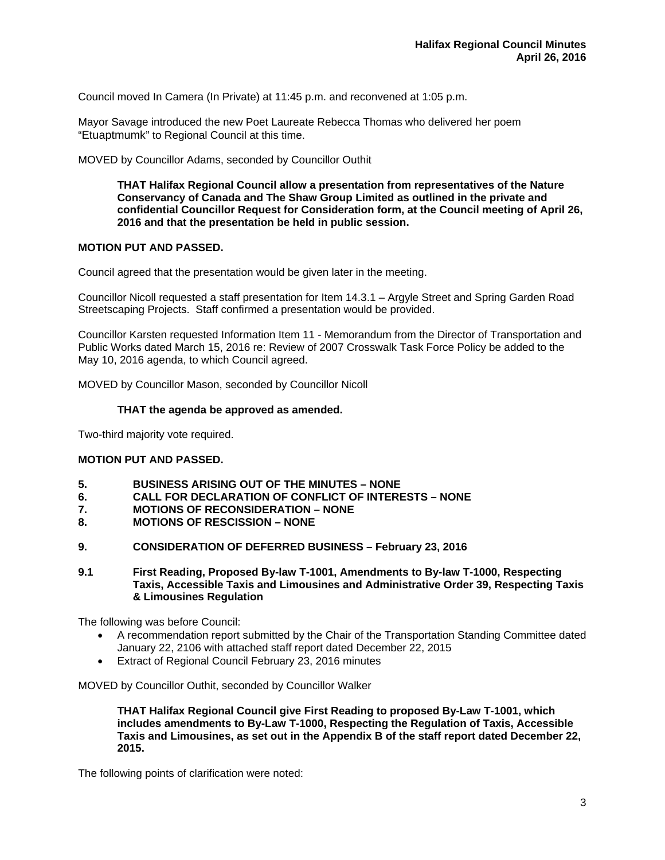Council moved In Camera (In Private) at 11:45 p.m. and reconvened at 1:05 p.m.

Mayor Savage introduced the new Poet Laureate Rebecca Thomas who delivered her poem "Etuaptmumk" to Regional Council at this time.

MOVED by Councillor Adams, seconded by Councillor Outhit

**THAT Halifax Regional Council allow a presentation from representatives of the Nature Conservancy of Canada and The Shaw Group Limited as outlined in the private and confidential Councillor Request for Consideration form, at the Council meeting of April 26, 2016 and that the presentation be held in public session.** 

## **MOTION PUT AND PASSED.**

Council agreed that the presentation would be given later in the meeting.

Councillor Nicoll requested a staff presentation for Item 14.3.1 – Argyle Street and Spring Garden Road Streetscaping Projects. Staff confirmed a presentation would be provided.

Councillor Karsten requested Information Item 11 - Memorandum from the Director of Transportation and Public Works dated March 15, 2016 re: Review of 2007 Crosswalk Task Force Policy be added to the May 10, 2016 agenda, to which Council agreed.

MOVED by Councillor Mason, seconded by Councillor Nicoll

## **THAT the agenda be approved as amended.**

Two-third majority vote required.

# **MOTION PUT AND PASSED.**

- **5. BUSINESS ARISING OUT OF THE MINUTES NONE**
- **6. CALL FOR DECLARATION OF CONFLICT OF INTERESTS NONE**
- **7. MOTIONS OF RECONSIDERATION NONE**
- **8. MOTIONS OF RESCISSION NONE**
- **9. CONSIDERATION OF DEFERRED BUSINESS February 23, 2016**
- **9.1 First Reading, Proposed By-law T-1001, Amendments to By-law T-1000, Respecting Taxis, Accessible Taxis and Limousines and Administrative Order 39, Respecting Taxis & Limousines Regulation**

The following was before Council:

- A recommendation report submitted by the Chair of the Transportation Standing Committee dated January 22, 2106 with attached staff report dated December 22, 2015
- Extract of Regional Council February 23, 2016 minutes

MOVED by Councillor Outhit, seconded by Councillor Walker

**THAT Halifax Regional Council give First Reading to proposed By-Law T-1001, which includes amendments to By-Law T-1000, Respecting the Regulation of Taxis, Accessible Taxis and Limousines, as set out in the Appendix B of the staff report dated December 22, 2015.** 

The following points of clarification were noted: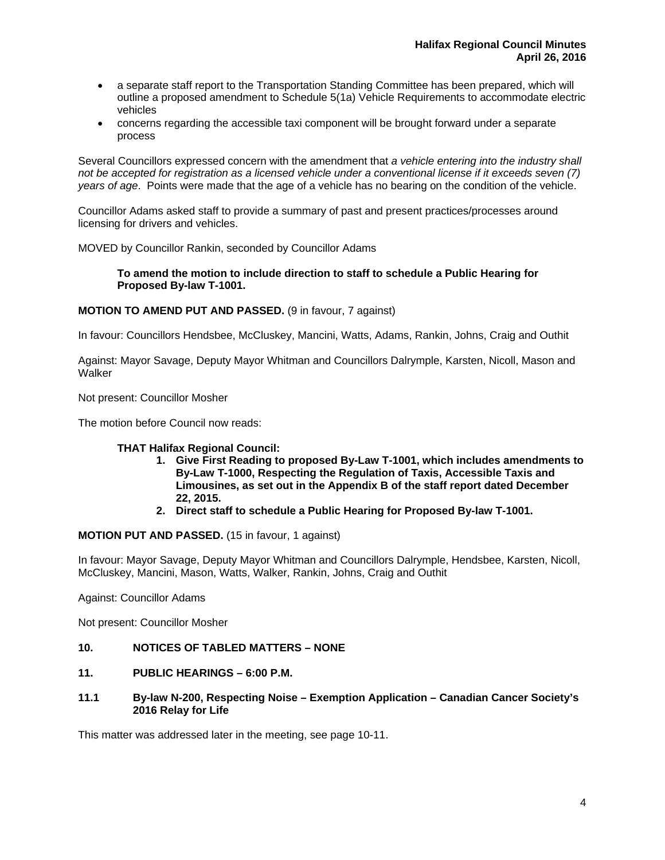- a separate staff report to the Transportation Standing Committee has been prepared, which will outline a proposed amendment to Schedule 5(1a) Vehicle Requirements to accommodate electric vehicles
- concerns regarding the accessible taxi component will be brought forward under a separate process

Several Councillors expressed concern with the amendment that *a vehicle entering into the industry shall not be accepted for registration as a licensed vehicle under a conventional license if it exceeds seven (7) years of age*. Points were made that the age of a vehicle has no bearing on the condition of the vehicle.

Councillor Adams asked staff to provide a summary of past and present practices/processes around licensing for drivers and vehicles.

MOVED by Councillor Rankin, seconded by Councillor Adams

**To amend the motion to include direction to staff to schedule a Public Hearing for Proposed By-law T-1001.** 

## **MOTION TO AMEND PUT AND PASSED.** (9 in favour, 7 against)

In favour: Councillors Hendsbee, McCluskey, Mancini, Watts, Adams, Rankin, Johns, Craig and Outhit

Against: Mayor Savage, Deputy Mayor Whitman and Councillors Dalrymple, Karsten, Nicoll, Mason and **Walker** 

Not present: Councillor Mosher

The motion before Council now reads:

## **THAT Halifax Regional Council:**

- **1. Give First Reading to proposed By-Law T-1001, which includes amendments to By-Law T-1000, Respecting the Regulation of Taxis, Accessible Taxis and Limousines, as set out in the Appendix B of the staff report dated December 22, 2015.**
- **2. Direct staff to schedule a Public Hearing for Proposed By-law T-1001.**

## **MOTION PUT AND PASSED.** (15 in favour, 1 against)

In favour: Mayor Savage, Deputy Mayor Whitman and Councillors Dalrymple, Hendsbee, Karsten, Nicoll, McCluskey, Mancini, Mason, Watts, Walker, Rankin, Johns, Craig and Outhit

Against: Councillor Adams

Not present: Councillor Mosher

- **10. NOTICES OF TABLED MATTERS NONE**
- **11. PUBLIC HEARINGS 6:00 P.M.**
- **11.1 By-law N-200, Respecting Noise Exemption Application Canadian Cancer Society's 2016 Relay for Life**

This matter was addressed later in the meeting, see page 10-11.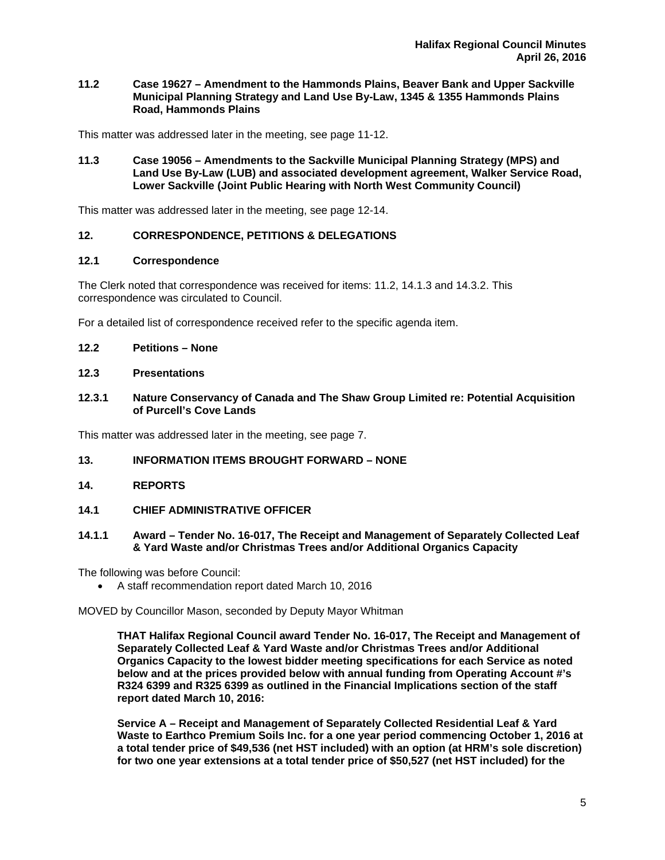**11.2 Case 19627 – Amendment to the Hammonds Plains, Beaver Bank and Upper Sackville Municipal Planning Strategy and Land Use By-Law, 1345 & 1355 Hammonds Plains Road, Hammonds Plains** 

This matter was addressed later in the meeting, see page 11-12.

**11.3 Case 19056 – Amendments to the Sackville Municipal Planning Strategy (MPS) and Land Use By-Law (LUB) and associated development agreement, Walker Service Road, Lower Sackville (Joint Public Hearing with North West Community Council)** 

This matter was addressed later in the meeting, see page 12-14.

## **12. CORRESPONDENCE, PETITIONS & DELEGATIONS**

#### **12.1 Correspondence**

The Clerk noted that correspondence was received for items: 11.2, 14.1.3 and 14.3.2. This correspondence was circulated to Council.

For a detailed list of correspondence received refer to the specific agenda item.

#### **12.2 Petitions – None**

#### **12.3 Presentations**

## **12.3.1 Nature Conservancy of Canada and The Shaw Group Limited re: Potential Acquisition of Purcell's Cove Lands**

This matter was addressed later in the meeting, see page 7.

## **13. INFORMATION ITEMS BROUGHT FORWARD – NONE**

**14. REPORTS** 

## **14.1 CHIEF ADMINISTRATIVE OFFICER**

#### **14.1.1 Award – Tender No. 16-017, The Receipt and Management of Separately Collected Leaf & Yard Waste and/or Christmas Trees and/or Additional Organics Capacity**

The following was before Council:

A staff recommendation report dated March 10, 2016

MOVED by Councillor Mason, seconded by Deputy Mayor Whitman

**THAT Halifax Regional Council award Tender No. 16-017, The Receipt and Management of Separately Collected Leaf & Yard Waste and/or Christmas Trees and/or Additional Organics Capacity to the lowest bidder meeting specifications for each Service as noted below and at the prices provided below with annual funding from Operating Account #'s R324 6399 and R325 6399 as outlined in the Financial Implications section of the staff report dated March 10, 2016:** 

**Service A – Receipt and Management of Separately Collected Residential Leaf & Yard Waste to Earthco Premium Soils Inc. for a one year period commencing October 1, 2016 at a total tender price of \$49,536 (net HST included) with an option (at HRM's sole discretion) for two one year extensions at a total tender price of \$50,527 (net HST included) for the**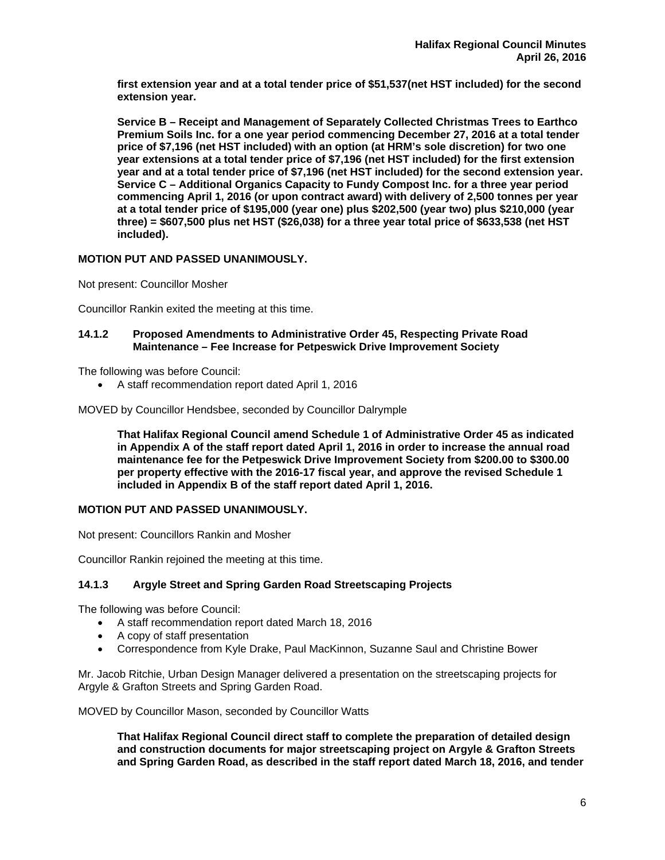**first extension year and at a total tender price of \$51,537(net HST included) for the second extension year.** 

**Service B – Receipt and Management of Separately Collected Christmas Trees to Earthco Premium Soils Inc. for a one year period commencing December 27, 2016 at a total tender price of \$7,196 (net HST included) with an option (at HRM's sole discretion) for two one year extensions at a total tender price of \$7,196 (net HST included) for the first extension year and at a total tender price of \$7,196 (net HST included) for the second extension year. Service C – Additional Organics Capacity to Fundy Compost Inc. for a three year period commencing April 1, 2016 (or upon contract award) with delivery of 2,500 tonnes per year at a total tender price of \$195,000 (year one) plus \$202,500 (year two) plus \$210,000 (year three) = \$607,500 plus net HST (\$26,038) for a three year total price of \$633,538 (net HST included).** 

# **MOTION PUT AND PASSED UNANIMOUSLY.**

Not present: Councillor Mosher

Councillor Rankin exited the meeting at this time.

## **14.1.2 Proposed Amendments to Administrative Order 45, Respecting Private Road Maintenance – Fee Increase for Petpeswick Drive Improvement Society**

The following was before Council:

A staff recommendation report dated April 1, 2016

MOVED by Councillor Hendsbee, seconded by Councillor Dalrymple

**That Halifax Regional Council amend Schedule 1 of Administrative Order 45 as indicated in Appendix A of the staff report dated April 1, 2016 in order to increase the annual road maintenance fee for the Petpeswick Drive Improvement Society from \$200.00 to \$300.00 per property effective with the 2016-17 fiscal year, and approve the revised Schedule 1 included in Appendix B of the staff report dated April 1, 2016.** 

# **MOTION PUT AND PASSED UNANIMOUSLY.**

Not present: Councillors Rankin and Mosher

Councillor Rankin rejoined the meeting at this time.

# **14.1.3 Argyle Street and Spring Garden Road Streetscaping Projects**

The following was before Council:

- A staff recommendation report dated March 18, 2016
- A copy of staff presentation
- Correspondence from Kyle Drake, Paul MacKinnon, Suzanne Saul and Christine Bower

Mr. Jacob Ritchie, Urban Design Manager delivered a presentation on the streetscaping projects for Argyle & Grafton Streets and Spring Garden Road.

MOVED by Councillor Mason, seconded by Councillor Watts

**That Halifax Regional Council direct staff to complete the preparation of detailed design and construction documents for major streetscaping project on Argyle & Grafton Streets and Spring Garden Road, as described in the staff report dated March 18, 2016, and tender**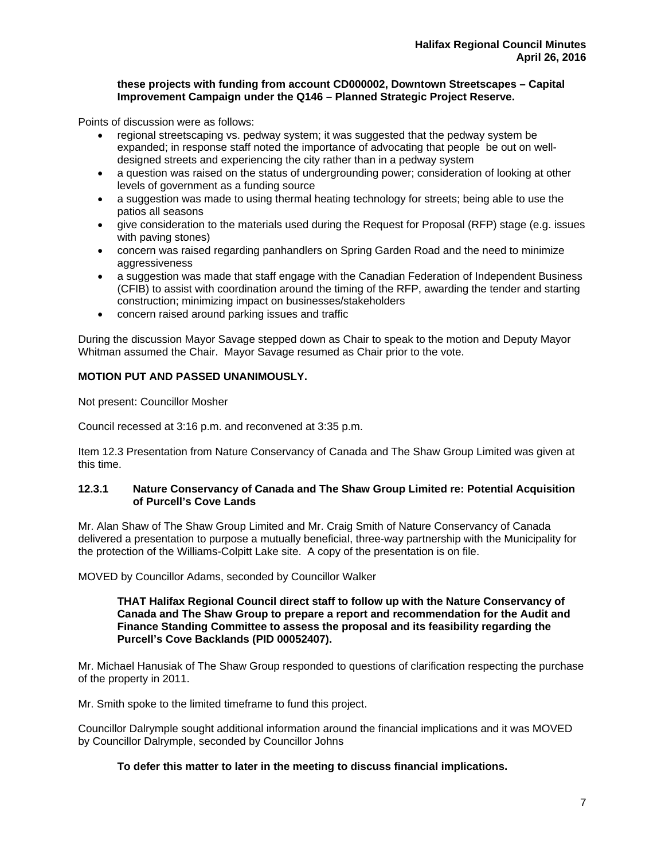## **these projects with funding from account CD000002, Downtown Streetscapes – Capital Improvement Campaign under the Q146 – Planned Strategic Project Reserve.**

Points of discussion were as follows:

- regional streetscaping vs. pedway system; it was suggested that the pedway system be expanded; in response staff noted the importance of advocating that people be out on welldesigned streets and experiencing the city rather than in a pedway system
- a question was raised on the status of undergrounding power; consideration of looking at other levels of government as a funding source
- a suggestion was made to using thermal heating technology for streets; being able to use the patios all seasons
- give consideration to the materials used during the Request for Proposal (RFP) stage (e.g. issues with paving stones)
- concern was raised regarding panhandlers on Spring Garden Road and the need to minimize aggressiveness
- a suggestion was made that staff engage with the Canadian Federation of Independent Business (CFIB) to assist with coordination around the timing of the RFP, awarding the tender and starting construction; minimizing impact on businesses/stakeholders
- concern raised around parking issues and traffic

During the discussion Mayor Savage stepped down as Chair to speak to the motion and Deputy Mayor Whitman assumed the Chair. Mayor Savage resumed as Chair prior to the vote.

## **MOTION PUT AND PASSED UNANIMOUSLY.**

Not present: Councillor Mosher

Council recessed at 3:16 p.m. and reconvened at 3:35 p.m.

Item 12.3 Presentation from Nature Conservancy of Canada and The Shaw Group Limited was given at this time.

## **12.3.1 Nature Conservancy of Canada and The Shaw Group Limited re: Potential Acquisition of Purcell's Cove Lands**

Mr. Alan Shaw of The Shaw Group Limited and Mr. Craig Smith of Nature Conservancy of Canada delivered a presentation to purpose a mutually beneficial, three-way partnership with the Municipality for the protection of the Williams-Colpitt Lake site. A copy of the presentation is on file.

MOVED by Councillor Adams, seconded by Councillor Walker

#### **THAT Halifax Regional Council direct staff to follow up with the Nature Conservancy of Canada and The Shaw Group to prepare a report and recommendation for the Audit and Finance Standing Committee to assess the proposal and its feasibility regarding the Purcell's Cove Backlands (PID 00052407).**

Mr. Michael Hanusiak of The Shaw Group responded to questions of clarification respecting the purchase of the property in 2011.

Mr. Smith spoke to the limited timeframe to fund this project.

Councillor Dalrymple sought additional information around the financial implications and it was MOVED by Councillor Dalrymple, seconded by Councillor Johns

## **To defer this matter to later in the meeting to discuss financial implications.**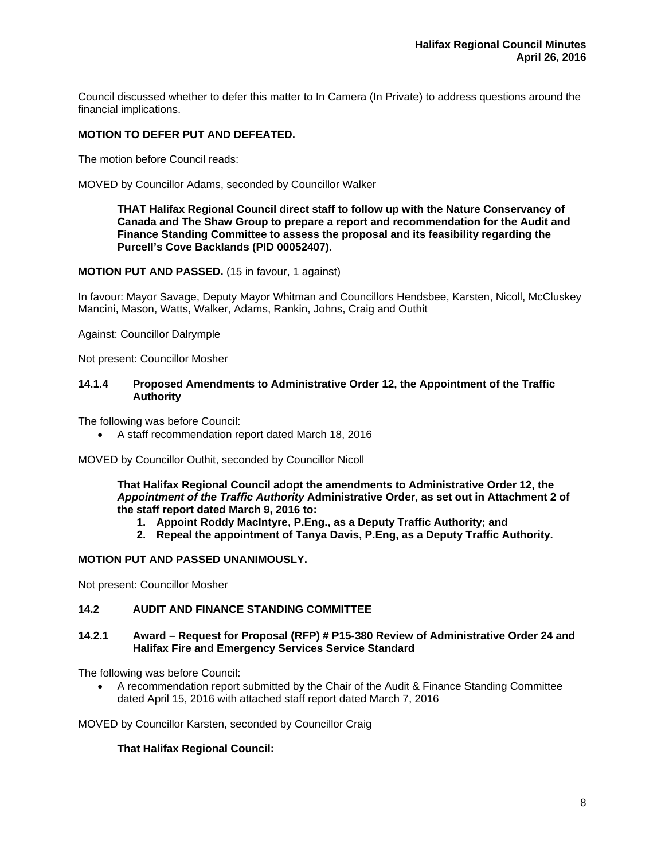Council discussed whether to defer this matter to In Camera (In Private) to address questions around the financial implications.

# **MOTION TO DEFER PUT AND DEFEATED.**

The motion before Council reads:

MOVED by Councillor Adams, seconded by Councillor Walker

**THAT Halifax Regional Council direct staff to follow up with the Nature Conservancy of Canada and The Shaw Group to prepare a report and recommendation for the Audit and Finance Standing Committee to assess the proposal and its feasibility regarding the Purcell's Cove Backlands (PID 00052407).** 

**MOTION PUT AND PASSED.** (15 in favour, 1 against)

In favour: Mayor Savage, Deputy Mayor Whitman and Councillors Hendsbee, Karsten, Nicoll, McCluskey Mancini, Mason, Watts, Walker, Adams, Rankin, Johns, Craig and Outhit

Against: Councillor Dalrymple

Not present: Councillor Mosher

#### **14.1.4 Proposed Amendments to Administrative Order 12, the Appointment of the Traffic Authority**

The following was before Council:

A staff recommendation report dated March 18, 2016

MOVED by Councillor Outhit, seconded by Councillor Nicoll

**That Halifax Regional Council adopt the amendments to Administrative Order 12, the**  *Appointment of the Traffic Authority* **Administrative Order, as set out in Attachment 2 of the staff report dated March 9, 2016 to:** 

- **1. Appoint Roddy MacIntyre, P.Eng., as a Deputy Traffic Authority; and**
- **2. Repeal the appointment of Tanya Davis, P.Eng, as a Deputy Traffic Authority.**

#### **MOTION PUT AND PASSED UNANIMOUSLY.**

Not present: Councillor Mosher

## **14.2 AUDIT AND FINANCE STANDING COMMITTEE**

## **14.2.1 Award – Request for Proposal (RFP) # P15-380 Review of Administrative Order 24 and Halifax Fire and Emergency Services Service Standard**

The following was before Council:

 A recommendation report submitted by the Chair of the Audit & Finance Standing Committee dated April 15, 2016 with attached staff report dated March 7, 2016

MOVED by Councillor Karsten, seconded by Councillor Craig

## **That Halifax Regional Council:**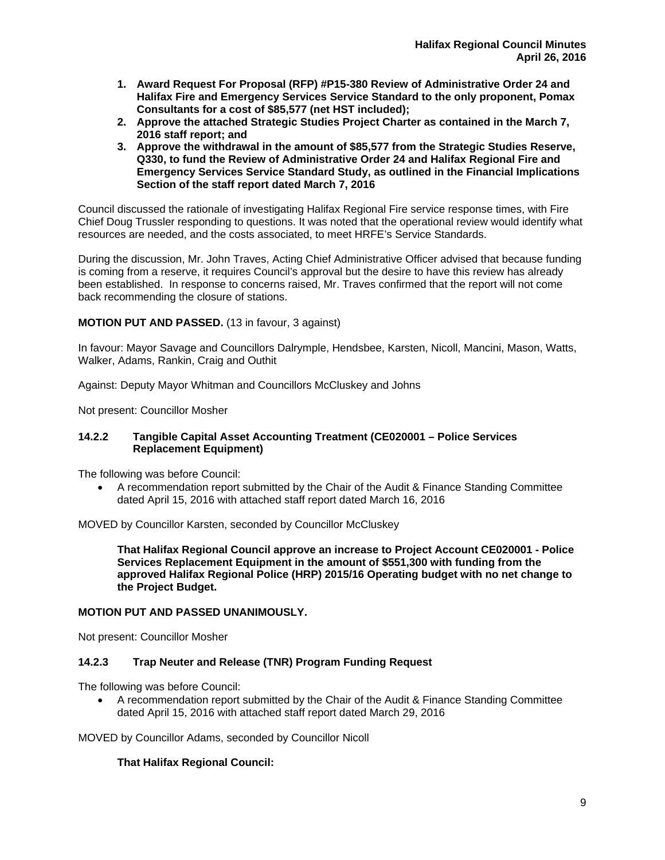- **1. Award Request For Proposal (RFP) #P15-380 Review of Administrative Order 24 and Halifax Fire and Emergency Services Service Standard to the only proponent, Pomax Consultants for a cost of \$85,577 (net HST included);**
- **2. Approve the attached Strategic Studies Project Charter as contained in the March 7, 2016 staff report; and**
- **3. Approve the withdrawal in the amount of \$85,577 from the Strategic Studies Reserve, Q330, to fund the Review of Administrative Order 24 and Halifax Regional Fire and Emergency Services Service Standard Study, as outlined in the Financial Implications Section of the staff report dated March 7, 2016**

Council discussed the rationale of investigating Halifax Regional Fire service response times, with Fire Chief Doug Trussler responding to questions. It was noted that the operational review would identify what resources are needed, and the costs associated, to meet HRFE's Service Standards.

During the discussion, Mr. John Traves, Acting Chief Administrative Officer advised that because funding is coming from a reserve, it requires Council's approval but the desire to have this review has already been established. In response to concerns raised, Mr. Traves confirmed that the report will not come back recommending the closure of stations.

# **MOTION PUT AND PASSED.** (13 in favour, 3 against)

In favour: Mayor Savage and Councillors Dalrymple, Hendsbee, Karsten, Nicoll, Mancini, Mason, Watts, Walker, Adams, Rankin, Craig and Outhit

Against: Deputy Mayor Whitman and Councillors McCluskey and Johns

Not present: Councillor Mosher

## **14.2.2 Tangible Capital Asset Accounting Treatment (CE020001 – Police Services Replacement Equipment)**

The following was before Council:

 A recommendation report submitted by the Chair of the Audit & Finance Standing Committee dated April 15, 2016 with attached staff report dated March 16, 2016

MOVED by Councillor Karsten, seconded by Councillor McCluskey

**That Halifax Regional Council approve an increase to Project Account CE020001 - Police Services Replacement Equipment in the amount of \$551,300 with funding from the approved Halifax Regional Police (HRP) 2015/16 Operating budget with no net change to the Project Budget.** 

## **MOTION PUT AND PASSED UNANIMOUSLY.**

Not present: Councillor Mosher

# **14.2.3 Trap Neuter and Release (TNR) Program Funding Request**

The following was before Council:

 A recommendation report submitted by the Chair of the Audit & Finance Standing Committee dated April 15, 2016 with attached staff report dated March 29, 2016

MOVED by Councillor Adams, seconded by Councillor Nicoll

# **That Halifax Regional Council:**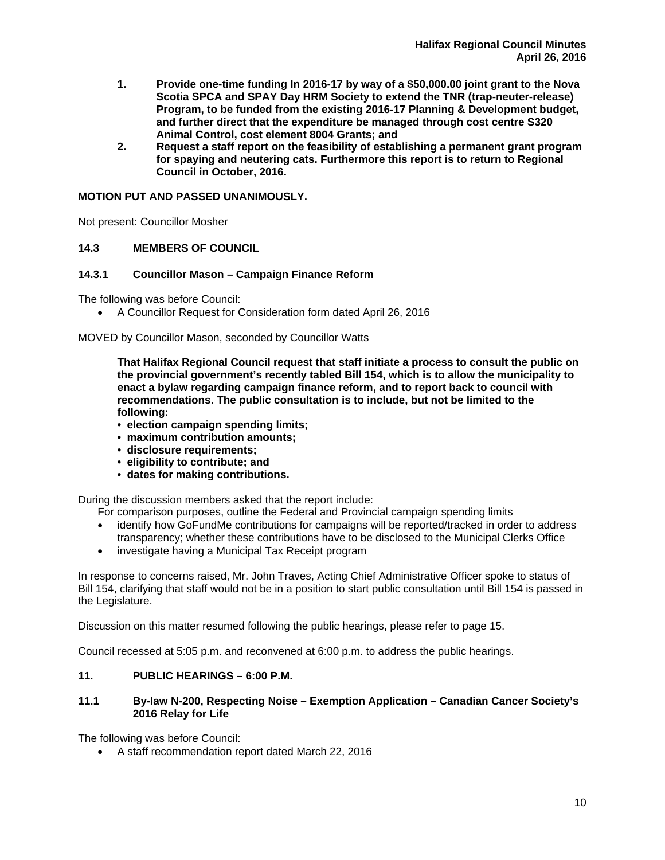- **1. Provide one-time funding In 2016-17 by way of a \$50,000.00 joint grant to the Nova Scotia SPCA and SPAY Day HRM Society to extend the TNR (trap-neuter-release) Program, to be funded from the existing 2016-17 Planning & Development budget, and further direct that the expenditure be managed through cost centre S320 Animal Control, cost element 8004 Grants; and**
- **2. Request a staff report on the feasibility of establishing a permanent grant program for spaying and neutering cats. Furthermore this report is to return to Regional Council in October, 2016.**

# **MOTION PUT AND PASSED UNANIMOUSLY.**

Not present: Councillor Mosher

## **14.3 MEMBERS OF COUNCIL**

## **14.3.1 Councillor Mason – Campaign Finance Reform**

The following was before Council:

A Councillor Request for Consideration form dated April 26, 2016

## MOVED by Councillor Mason, seconded by Councillor Watts

**That Halifax Regional Council request that staff initiate a process to consult the public on the provincial government's recently tabled Bill 154, which is to allow the municipality to enact a bylaw regarding campaign finance reform, and to report back to council with recommendations. The public consultation is to include, but not be limited to the following:** 

- **election campaign spending limits;**
- **maximum contribution amounts;**
- **disclosure requirements;**
- **eligibility to contribute; and**
- **dates for making contributions.**

During the discussion members asked that the report include:

- For comparison purposes, outline the Federal and Provincial campaign spending limits
- identify how GoFundMe contributions for campaigns will be reported/tracked in order to address transparency; whether these contributions have to be disclosed to the Municipal Clerks Office
- investigate having a Municipal Tax Receipt program

In response to concerns raised, Mr. John Traves, Acting Chief Administrative Officer spoke to status of Bill 154, clarifying that staff would not be in a position to start public consultation until Bill 154 is passed in the Legislature.

Discussion on this matter resumed following the public hearings, please refer to page 15.

Council recessed at 5:05 p.m. and reconvened at 6:00 p.m. to address the public hearings.

## **11. PUBLIC HEARINGS – 6:00 P.M.**

## **11.1 By-law N-200, Respecting Noise – Exemption Application – Canadian Cancer Society's 2016 Relay for Life**

The following was before Council:

A staff recommendation report dated March 22, 2016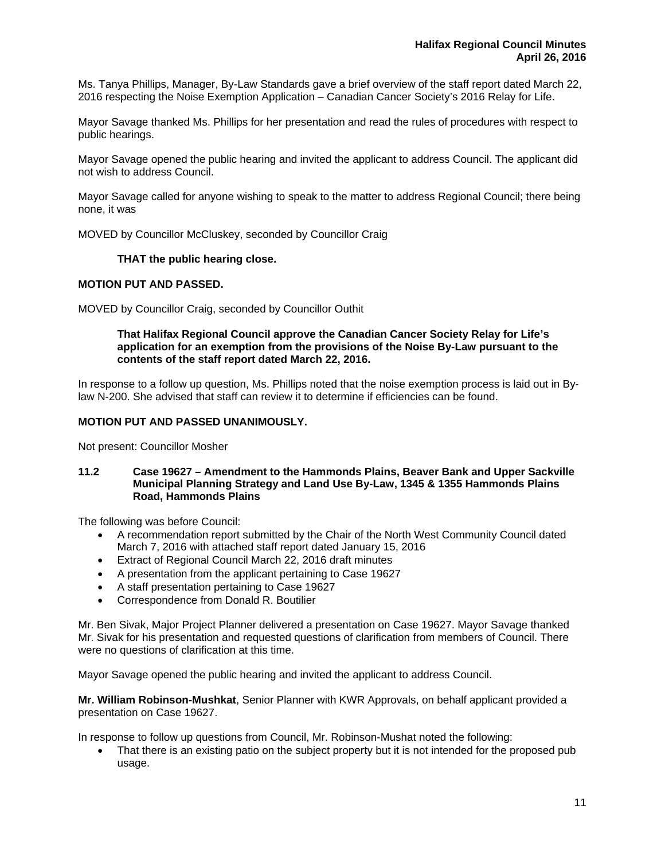Ms. Tanya Phillips, Manager, By-Law Standards gave a brief overview of the staff report dated March 22, 2016 respecting the Noise Exemption Application – Canadian Cancer Society's 2016 Relay for Life.

Mayor Savage thanked Ms. Phillips for her presentation and read the rules of procedures with respect to public hearings.

Mayor Savage opened the public hearing and invited the applicant to address Council. The applicant did not wish to address Council.

Mayor Savage called for anyone wishing to speak to the matter to address Regional Council; there being none, it was

MOVED by Councillor McCluskey, seconded by Councillor Craig

## **THAT the public hearing close.**

#### **MOTION PUT AND PASSED.**

MOVED by Councillor Craig, seconded by Councillor Outhit

## **That Halifax Regional Council approve the Canadian Cancer Society Relay for Life's application for an exemption from the provisions of the Noise By-Law pursuant to the contents of the staff report dated March 22, 2016.**

In response to a follow up question, Ms. Phillips noted that the noise exemption process is laid out in Bylaw N-200. She advised that staff can review it to determine if efficiencies can be found.

## **MOTION PUT AND PASSED UNANIMOUSLY.**

Not present: Councillor Mosher

#### **11.2 Case 19627 – Amendment to the Hammonds Plains, Beaver Bank and Upper Sackville Municipal Planning Strategy and Land Use By-Law, 1345 & 1355 Hammonds Plains Road, Hammonds Plains**

The following was before Council:

- A recommendation report submitted by the Chair of the North West Community Council dated March 7, 2016 with attached staff report dated January 15, 2016
- Extract of Regional Council March 22, 2016 draft minutes
- A presentation from the applicant pertaining to Case 19627
- A staff presentation pertaining to Case 19627
- Correspondence from Donald R. Boutilier

Mr. Ben Sivak, Major Project Planner delivered a presentation on Case 19627. Mayor Savage thanked Mr. Sivak for his presentation and requested questions of clarification from members of Council. There were no questions of clarification at this time.

Mayor Savage opened the public hearing and invited the applicant to address Council.

**Mr. William Robinson-Mushkat**, Senior Planner with KWR Approvals, on behalf applicant provided a presentation on Case 19627.

In response to follow up questions from Council, Mr. Robinson-Mushat noted the following:

 That there is an existing patio on the subject property but it is not intended for the proposed pub usage.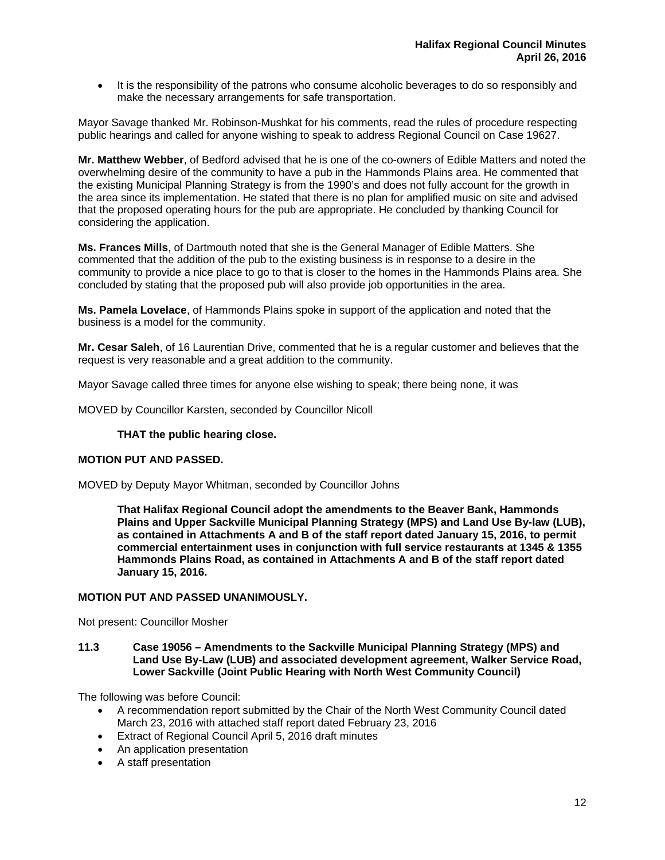• It is the responsibility of the patrons who consume alcoholic beverages to do so responsibly and make the necessary arrangements for safe transportation.

Mayor Savage thanked Mr. Robinson-Mushkat for his comments, read the rules of procedure respecting public hearings and called for anyone wishing to speak to address Regional Council on Case 19627.

**Mr. Matthew Webber**, of Bedford advised that he is one of the co-owners of Edible Matters and noted the overwhelming desire of the community to have a pub in the Hammonds Plains area. He commented that the existing Municipal Planning Strategy is from the 1990's and does not fully account for the growth in the area since its implementation. He stated that there is no plan for amplified music on site and advised that the proposed operating hours for the pub are appropriate. He concluded by thanking Council for considering the application.

**Ms. Frances Mills**, of Dartmouth noted that she is the General Manager of Edible Matters. She commented that the addition of the pub to the existing business is in response to a desire in the community to provide a nice place to go to that is closer to the homes in the Hammonds Plains area. She concluded by stating that the proposed pub will also provide job opportunities in the area.

**Ms. Pamela Lovelace**, of Hammonds Plains spoke in support of the application and noted that the business is a model for the community.

**Mr. Cesar Saleh**, of 16 Laurentian Drive, commented that he is a regular customer and believes that the request is very reasonable and a great addition to the community.

Mayor Savage called three times for anyone else wishing to speak; there being none, it was

MOVED by Councillor Karsten, seconded by Councillor Nicoll

#### **THAT the public hearing close.**

## **MOTION PUT AND PASSED.**

MOVED by Deputy Mayor Whitman, seconded by Councillor Johns

**That Halifax Regional Council adopt the amendments to the Beaver Bank, Hammonds Plains and Upper Sackville Municipal Planning Strategy (MPS) and Land Use By-law (LUB), as contained in Attachments A and B of the staff report dated January 15, 2016, to permit commercial entertainment uses in conjunction with full service restaurants at 1345 & 1355 Hammonds Plains Road, as contained in Attachments A and B of the staff report dated January 15, 2016.** 

## **MOTION PUT AND PASSED UNANIMOUSLY.**

Not present: Councillor Mosher

**11.3 Case 19056 – Amendments to the Sackville Municipal Planning Strategy (MPS) and Land Use By-Law (LUB) and associated development agreement, Walker Service Road, Lower Sackville (Joint Public Hearing with North West Community Council)** 

The following was before Council:

- A recommendation report submitted by the Chair of the North West Community Council dated March 23, 2016 with attached staff report dated February 23, 2016
- **Extract of Regional Council April 5, 2016 draft minutes**
- An application presentation
- A staff presentation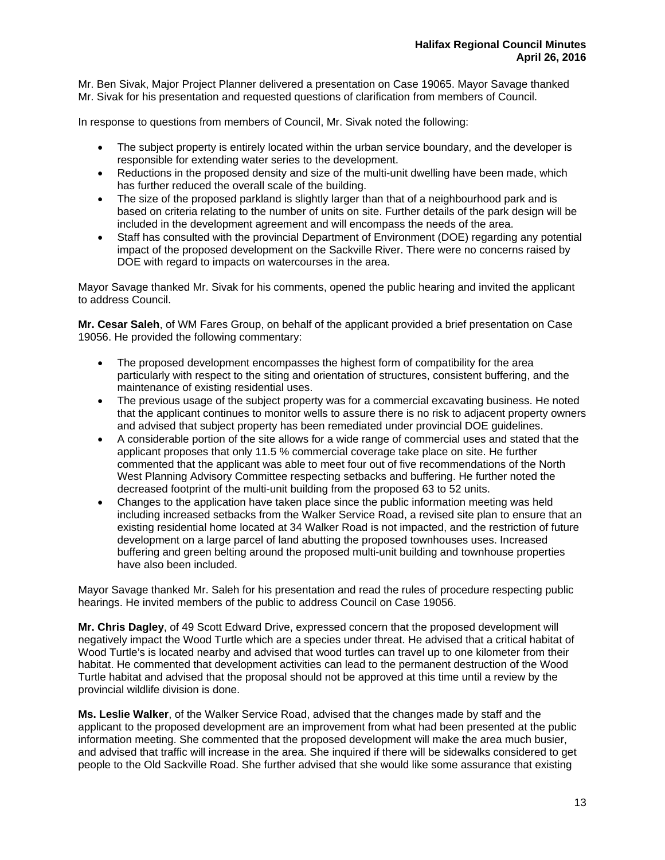Mr. Ben Sivak, Major Project Planner delivered a presentation on Case 19065. Mayor Savage thanked Mr. Sivak for his presentation and requested questions of clarification from members of Council.

In response to questions from members of Council, Mr. Sivak noted the following:

- The subject property is entirely located within the urban service boundary, and the developer is responsible for extending water series to the development.
- Reductions in the proposed density and size of the multi-unit dwelling have been made, which has further reduced the overall scale of the building.
- The size of the proposed parkland is slightly larger than that of a neighbourhood park and is based on criteria relating to the number of units on site. Further details of the park design will be included in the development agreement and will encompass the needs of the area.
- Staff has consulted with the provincial Department of Environment (DOE) regarding any potential impact of the proposed development on the Sackville River. There were no concerns raised by DOE with regard to impacts on watercourses in the area.

Mayor Savage thanked Mr. Sivak for his comments, opened the public hearing and invited the applicant to address Council.

**Mr. Cesar Saleh**, of WM Fares Group, on behalf of the applicant provided a brief presentation on Case 19056. He provided the following commentary:

- The proposed development encompasses the highest form of compatibility for the area particularly with respect to the siting and orientation of structures, consistent buffering, and the maintenance of existing residential uses.
- The previous usage of the subject property was for a commercial excavating business. He noted that the applicant continues to monitor wells to assure there is no risk to adjacent property owners and advised that subject property has been remediated under provincial DOE guidelines.
- A considerable portion of the site allows for a wide range of commercial uses and stated that the applicant proposes that only 11.5 % commercial coverage take place on site. He further commented that the applicant was able to meet four out of five recommendations of the North West Planning Advisory Committee respecting setbacks and buffering. He further noted the decreased footprint of the multi-unit building from the proposed 63 to 52 units.
- Changes to the application have taken place since the public information meeting was held including increased setbacks from the Walker Service Road, a revised site plan to ensure that an existing residential home located at 34 Walker Road is not impacted, and the restriction of future development on a large parcel of land abutting the proposed townhouses uses. Increased buffering and green belting around the proposed multi-unit building and townhouse properties have also been included.

Mayor Savage thanked Mr. Saleh for his presentation and read the rules of procedure respecting public hearings. He invited members of the public to address Council on Case 19056.

**Mr. Chris Dagley**, of 49 Scott Edward Drive, expressed concern that the proposed development will negatively impact the Wood Turtle which are a species under threat. He advised that a critical habitat of Wood Turtle's is located nearby and advised that wood turtles can travel up to one kilometer from their habitat. He commented that development activities can lead to the permanent destruction of the Wood Turtle habitat and advised that the proposal should not be approved at this time until a review by the provincial wildlife division is done.

**Ms. Leslie Walker**, of the Walker Service Road, advised that the changes made by staff and the applicant to the proposed development are an improvement from what had been presented at the public information meeting. She commented that the proposed development will make the area much busier, and advised that traffic will increase in the area. She inquired if there will be sidewalks considered to get people to the Old Sackville Road. She further advised that she would like some assurance that existing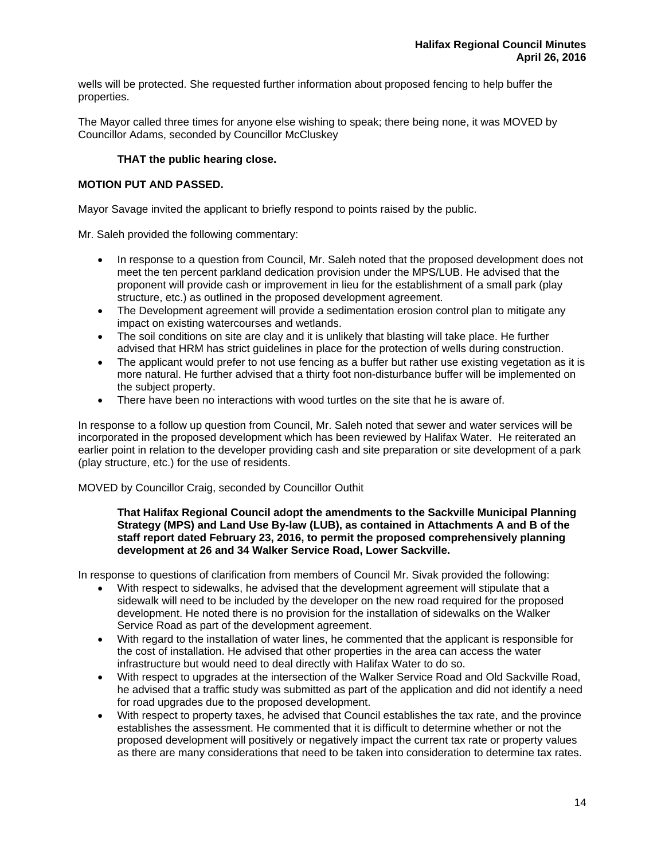wells will be protected. She requested further information about proposed fencing to help buffer the properties.

The Mayor called three times for anyone else wishing to speak; there being none, it was MOVED by Councillor Adams, seconded by Councillor McCluskey

# **THAT the public hearing close.**

## **MOTION PUT AND PASSED.**

Mayor Savage invited the applicant to briefly respond to points raised by the public.

Mr. Saleh provided the following commentary:

- In response to a question from Council, Mr. Saleh noted that the proposed development does not meet the ten percent parkland dedication provision under the MPS/LUB. He advised that the proponent will provide cash or improvement in lieu for the establishment of a small park (play structure, etc.) as outlined in the proposed development agreement.
- The Development agreement will provide a sedimentation erosion control plan to mitigate any impact on existing watercourses and wetlands.
- The soil conditions on site are clay and it is unlikely that blasting will take place. He further advised that HRM has strict guidelines in place for the protection of wells during construction.
- The applicant would prefer to not use fencing as a buffer but rather use existing vegetation as it is more natural. He further advised that a thirty foot non-disturbance buffer will be implemented on the subject property.
- There have been no interactions with wood turtles on the site that he is aware of.

In response to a follow up question from Council, Mr. Saleh noted that sewer and water services will be incorporated in the proposed development which has been reviewed by Halifax Water. He reiterated an earlier point in relation to the developer providing cash and site preparation or site development of a park (play structure, etc.) for the use of residents.

## MOVED by Councillor Craig, seconded by Councillor Outhit

#### **That Halifax Regional Council adopt the amendments to the Sackville Municipal Planning Strategy (MPS) and Land Use By-law (LUB), as contained in Attachments A and B of the staff report dated February 23, 2016, to permit the proposed comprehensively planning development at 26 and 34 Walker Service Road, Lower Sackville.**

In response to questions of clarification from members of Council Mr. Sivak provided the following:

- With respect to sidewalks, he advised that the development agreement will stipulate that a sidewalk will need to be included by the developer on the new road required for the proposed development. He noted there is no provision for the installation of sidewalks on the Walker Service Road as part of the development agreement.
- With regard to the installation of water lines, he commented that the applicant is responsible for the cost of installation. He advised that other properties in the area can access the water infrastructure but would need to deal directly with Halifax Water to do so.
- With respect to upgrades at the intersection of the Walker Service Road and Old Sackville Road, he advised that a traffic study was submitted as part of the application and did not identify a need for road upgrades due to the proposed development.
- With respect to property taxes, he advised that Council establishes the tax rate, and the province establishes the assessment. He commented that it is difficult to determine whether or not the proposed development will positively or negatively impact the current tax rate or property values as there are many considerations that need to be taken into consideration to determine tax rates.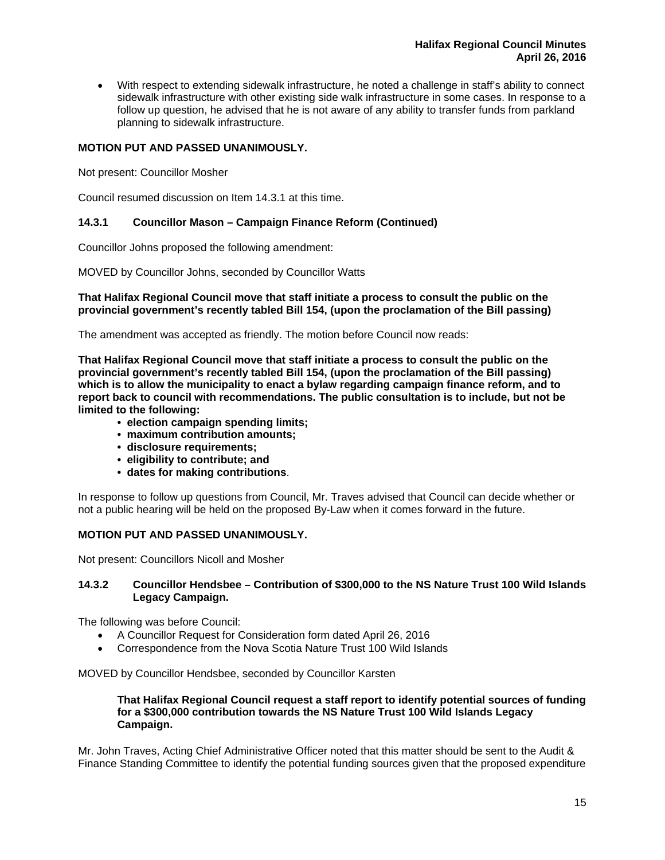With respect to extending sidewalk infrastructure, he noted a challenge in staff's ability to connect sidewalk infrastructure with other existing side walk infrastructure in some cases. In response to a follow up question, he advised that he is not aware of any ability to transfer funds from parkland planning to sidewalk infrastructure.

# **MOTION PUT AND PASSED UNANIMOUSLY.**

Not present: Councillor Mosher

Council resumed discussion on Item 14.3.1 at this time.

## **14.3.1 Councillor Mason – Campaign Finance Reform (Continued)**

Councillor Johns proposed the following amendment:

MOVED by Councillor Johns, seconded by Councillor Watts

## **That Halifax Regional Council move that staff initiate a process to consult the public on the provincial government's recently tabled Bill 154, (upon the proclamation of the Bill passing)**

The amendment was accepted as friendly. The motion before Council now reads:

**That Halifax Regional Council move that staff initiate a process to consult the public on the provincial government's recently tabled Bill 154, (upon the proclamation of the Bill passing) which is to allow the municipality to enact a bylaw regarding campaign finance reform, and to report back to council with recommendations. The public consultation is to include, but not be limited to the following:** 

- **election campaign spending limits;**
- **maximum contribution amounts;**
- **disclosure requirements;**
- **eligibility to contribute; and**
- **dates for making contributions**.

In response to follow up questions from Council, Mr. Traves advised that Council can decide whether or not a public hearing will be held on the proposed By-Law when it comes forward in the future.

## **MOTION PUT AND PASSED UNANIMOUSLY.**

Not present: Councillors Nicoll and Mosher

## **14.3.2 Councillor Hendsbee – Contribution of \$300,000 to the NS Nature Trust 100 Wild Islands Legacy Campaign.**

The following was before Council:

- A Councillor Request for Consideration form dated April 26, 2016
- Correspondence from the Nova Scotia Nature Trust 100 Wild Islands

MOVED by Councillor Hendsbee, seconded by Councillor Karsten

## **That Halifax Regional Council request a staff report to identify potential sources of funding for a \$300,000 contribution towards the NS Nature Trust 100 Wild Islands Legacy Campaign.**

Mr. John Traves, Acting Chief Administrative Officer noted that this matter should be sent to the Audit & Finance Standing Committee to identify the potential funding sources given that the proposed expenditure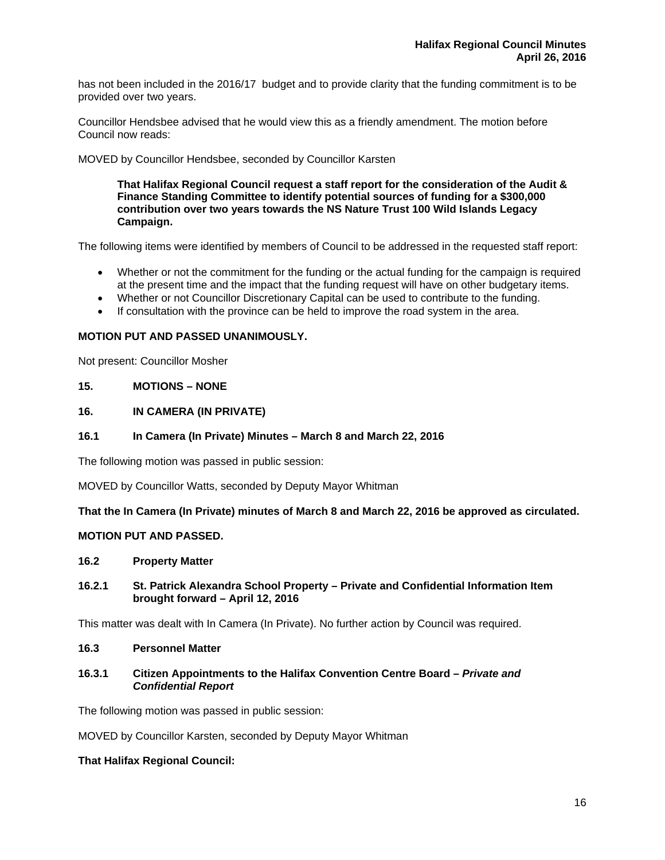has not been included in the 2016/17 budget and to provide clarity that the funding commitment is to be provided over two years.

Councillor Hendsbee advised that he would view this as a friendly amendment. The motion before Council now reads:

MOVED by Councillor Hendsbee, seconded by Councillor Karsten

**That Halifax Regional Council request a staff report for the consideration of the Audit & Finance Standing Committee to identify potential sources of funding for a \$300,000 contribution over two years towards the NS Nature Trust 100 Wild Islands Legacy Campaign.** 

The following items were identified by members of Council to be addressed in the requested staff report:

- Whether or not the commitment for the funding or the actual funding for the campaign is required at the present time and the impact that the funding request will have on other budgetary items.
- Whether or not Councillor Discretionary Capital can be used to contribute to the funding.
- If consultation with the province can be held to improve the road system in the area.

## **MOTION PUT AND PASSED UNANIMOUSLY.**

Not present: Councillor Mosher

## **15. MOTIONS – NONE**

## **16. IN CAMERA (IN PRIVATE)**

#### **16.1 In Camera (In Private) Minutes – March 8 and March 22, 2016**

The following motion was passed in public session:

MOVED by Councillor Watts, seconded by Deputy Mayor Whitman

**That the In Camera (In Private) minutes of March 8 and March 22, 2016 be approved as circulated.** 

## **MOTION PUT AND PASSED.**

#### **16.2 Property Matter**

**16.2.1 St. Patrick Alexandra School Property – Private and Confidential Information Item brought forward – April 12, 2016** 

This matter was dealt with In Camera (In Private). No further action by Council was required.

#### **16.3 Personnel Matter**

## **16.3.1 Citizen Appointments to the Halifax Convention Centre Board –** *Private and Confidential Report*

The following motion was passed in public session:

MOVED by Councillor Karsten, seconded by Deputy Mayor Whitman

## **That Halifax Regional Council:**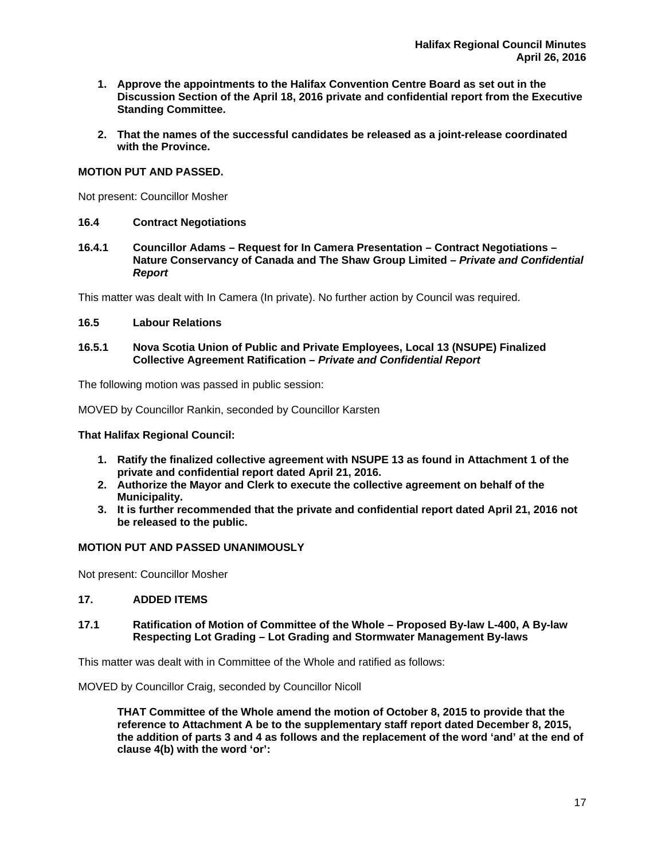- **1. Approve the appointments to the Halifax Convention Centre Board as set out in the Discussion Section of the April 18, 2016 private and confidential report from the Executive Standing Committee.**
- **2. That the names of the successful candidates be released as a joint-release coordinated with the Province.**

## **MOTION PUT AND PASSED.**

Not present: Councillor Mosher

## **16.4 Contract Negotiations**

**16.4.1 Councillor Adams – Request for In Camera Presentation – Contract Negotiations – Nature Conservancy of Canada and The Shaw Group Limited –** *Private and Confidential Report*

This matter was dealt with In Camera (In private). No further action by Council was required.

## **16.5 Labour Relations**

## **16.5.1 Nova Scotia Union of Public and Private Employees, Local 13 (NSUPE) Finalized Collective Agreement Ratification –** *Private and Confidential Report*

The following motion was passed in public session:

MOVED by Councillor Rankin, seconded by Councillor Karsten

**That Halifax Regional Council:** 

- **1. Ratify the finalized collective agreement with NSUPE 13 as found in Attachment 1 of the private and confidential report dated April 21, 2016.**
- **2. Authorize the Mayor and Clerk to execute the collective agreement on behalf of the Municipality.**
- **3. It is further recommended that the private and confidential report dated April 21, 2016 not be released to the public.**

## **MOTION PUT AND PASSED UNANIMOUSLY**

Not present: Councillor Mosher

## **17. ADDED ITEMS**

**17.1 Ratification of Motion of Committee of the Whole – Proposed By-law L-400, A By-law Respecting Lot Grading – Lot Grading and Stormwater Management By-laws** 

This matter was dealt with in Committee of the Whole and ratified as follows:

MOVED by Councillor Craig, seconded by Councillor Nicoll

**THAT Committee of the Whole amend the motion of October 8, 2015 to provide that the reference to Attachment A be to the supplementary staff report dated December 8, 2015, the addition of parts 3 and 4 as follows and the replacement of the word 'and' at the end of clause 4(b) with the word 'or':**